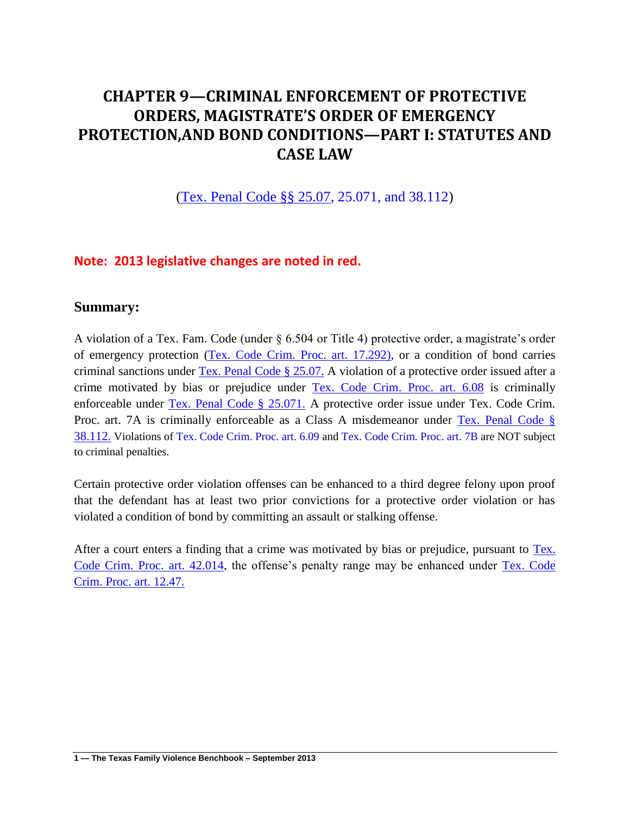# **CHAPTER 9—CRIMINAL ENFORCEMENT OF PROTECTIVE ORDERS, MAGISTRATE'S ORDER OF EMERGENCY PROTECTION,AND BOND CONDITIONS—PART I: STATUTES AND CASE LAW**

[\(Tex. Penal Code §§ 25.07,](http://www.lexis.com/research/slft?cite=54582050656E616C20436F646520A7A72032352E3037&keyenum=15452&keytnum=0) 25.071, and 38.112)

### **Note: 2013 legislative changes are noted in red.**

#### **Summary:**

A violation of a Tex. Fam. Code (under § 6.504 or Title 4) protective order, a magistrate's order of emergency protection [\(Tex. Code Crim. Proc. art. 17.292\),](http://www.lexis.com/research/slft?cite=5465782E20436F6465204372696D2E2050726F632E206172742E2031372E32393229&keyenum=15452&keytnum=0) or a condition of bond carries criminal sanctions under [Tex. Penal Code § 25.07.](http://www.lexis.com/research/slft?cite=54582050656E616C20436F646520A72032352E30372E&keyenum=15452&keytnum=0) A violation of a protective order issued after a crime motivated by bias or prejudice under [Tex. Code Crim. Proc. art. 6.08](http://www.lexis.com/research/slft?cite=5465782E20436F6465204372696D2E2050726F632E206172742E20362E3038&keyenum=15452&keytnum=0) is criminally enforceable under [Tex. Penal Code § 25.071.](http://www.lexis.com/research/slft?cite=54582050656E616C20436F646520A72032352E3037312E&keyenum=15452&keytnum=0) A protective order issue under Tex. Code Crim. Proc. art. 7A is criminally enforceable as a Class A misdemeanor under [Tex. Penal Code §](http://www.lexis.com/research/slft?cite=54582050656E616C20436F646520A72033382E3131322E&keyenum=15452&keytnum=0)  [38.112.](http://www.lexis.com/research/slft?cite=54582050656E616C20436F646520A72033382E3131322E&keyenum=15452&keytnum=0) Violations of Tex. Code Crim. Proc. art. 6.09 and Tex. Code Crim. Proc. art. 7B are NOT subject to criminal penalties.

Certain protective order violation offenses can be enhanced to a third degree felony upon proof that the defendant has at least two prior convictions for a protective order violation or has violated a condition of bond by committing an assault or stalking offense.

After a court enters a finding that a crime was motivated by bias or prejudice, pursuant to [Tex.](http://www.lexis.com/research/slft?cite=5465782E20436F6465204372696D2E2050726F632E206172742E2034322E303134&keyenum=15452&keytnum=0)  [Code Crim. Proc. art. 42.014,](http://www.lexis.com/research/slft?cite=5465782E20436F6465204372696D2E2050726F632E206172742E2034322E303134&keyenum=15452&keytnum=0) the offense's penalty range may be enhanced under [Tex. Code](http://www.lexis.com/research/slft?cite=5465782E20436F6465204372696D2E2050726F632E206172742E2031322E34372E&keyenum=15452&keytnum=0)  [Crim. Proc. art. 12.47.](http://www.lexis.com/research/slft?cite=5465782E20436F6465204372696D2E2050726F632E206172742E2031322E34372E&keyenum=15452&keytnum=0)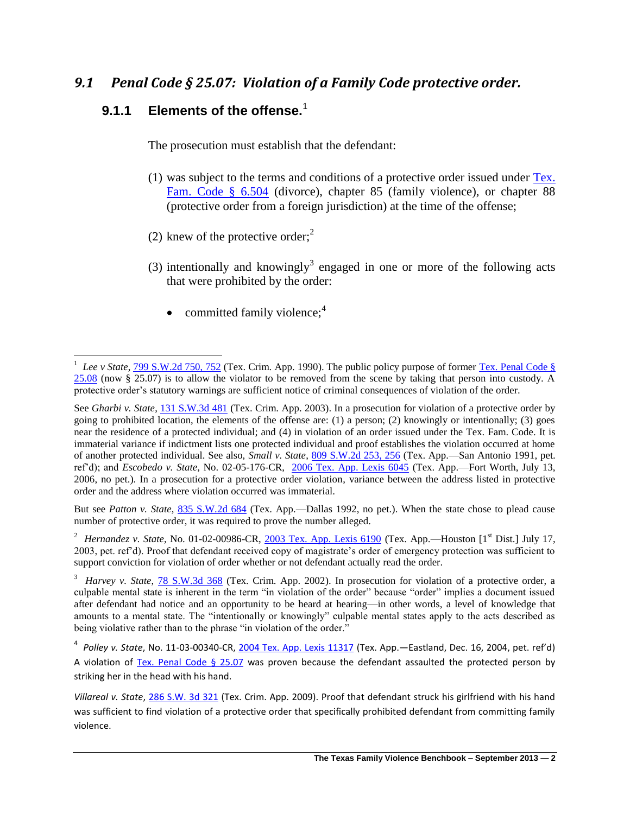## *9.1 Penal Code § 25.07: Violation of a Family Code protective order.*

## **9.1.1 Elements of the offense.**<sup>1</sup>

The prosecution must establish that the defendant:

- (1) was subject to the terms and conditions of a protective order issued under [Tex.](http://www.lexis.com/research/slft?cite=54582046616D696C7920436F646520A720362E353034&keyenum=15452&keytnum=0)  [Fam. Code § 6.504](http://www.lexis.com/research/slft?cite=54582046616D696C7920436F646520A720362E353034&keyenum=15452&keytnum=0) (divorce), chapter 85 (family violence), or chapter 88 (protective order from a foreign jurisdiction) at the time of the offense;
- (2) knew of the protective order;<sup>2</sup>
- (3) intentionally and knowingly<sup>3</sup> engaged in one or more of the following acts that were prohibited by the order:
	- committed family violence; $<sup>4</sup>$ </sup>

But see *Patton v. State*, [835 S.W.2d 684](http://www.lexis.com/research/slft?cite=38333520532E572E326420363834&keyenum=15451&keytnum=0) (Tex. App.—Dallas 1992, no pet.). When the state chose to plead cause number of protective order, it was required to prove the number alleged.

<sup>2</sup> Hernandez v. State, No. 01-02-00986-CR, [2003 Tex. App. Lexis 6190](http://www.lexis.com/research/slft?cite=32303033205465782E204170702E204C45584953202036313930&keyenum=15451&keytnum=0) (Tex. App.—Houston [1<sup>st</sup> Dist.] July 17, 2003, pet. ref'd). Proof that defendant received copy of magistrate's order of emergency protection was sufficient to support conviction for violation of order whether or not defendant actually read the order.

<sup>&</sup>lt;sup>1</sup> *Lee v State*, <u>799 S.W.2d 750, 752</u> (Tex. Crim. App. 1990). The public policy purpose of former <u>Tex. Penal Code §</u> [25.08](http://www.lexis.com/research/slft?cite=54582050656E616C20436F646520A72032352E3038&keyenum=15452&keytnum=0) (now § 25.07) is to allow the violator to be removed from the scene by taking that person into custody. A protective order's statutory warnings are sufficient notice of criminal consequences of violation of the order.

See *Gharbi v. State*[, 131 S.W.3d 481](http://www.lexis.com/research/slft?cite=31333120532E572E336420343831&keyenum=15451&keytnum=0) (Tex. Crim. App. 2003). In a prosecution for violation of a protective order by going to prohibited location, the elements of the offense are: (1) a person; (2) knowingly or intentionally; (3) goes near the residence of a protected individual; and (4) in violation of an order issued under the Tex. Fam. Code. It is immaterial variance if indictment lists one protected individual and proof establishes the violation occurred at home of another protected individual. See also, *Small v. State*, [809 S.W.2d 253, 256](http://www.lexis.com/research/slft?cite=38303920532E572E326420323533&keyenum=15451&keytnum=0) (Tex. App.—San Antonio 1991, pet. ref'd); and *Escobedo v. State*, No. 02-05-176-CR, [2006 Tex. App. Lexis 6045](http://www.lexis.com/research/slft?cite=32303036205465782E204170702E204C45584953202036303435&keyenum=15451&keytnum=0) (Tex. App.—Fort Worth, July 13, 2006, no pet.). In a prosecution for a protective order violation, variance between the address listed in protective order and the address where violation occurred was immaterial.

<sup>&</sup>lt;sup>3</sup> *Harvey v. State*, **78 S.W.3d 368** (Tex. Crim. App. 2002). In prosecution for violation of a protective order, a culpable mental state is inherent in the term "in violation of the order" because "order" implies a document issued after defendant had notice and an opportunity to be heard at hearing—in other words, a level of knowledge that amounts to a mental state. The "intentionally or knowingly" culpable mental states apply to the acts described as being violative rather than to the phrase "in violation of the order."

<sup>4</sup> *Polley v. State*, No. 11-03-00340-CR, [2004 Tex. App. Lexis 11317](http://www.lexis.com/research/slft?cite=32303034205465782E204170702E204C4558495320203131333137&keyenum=15451&keytnum=0) (Tex. App.—Eastland, Dec. 16, 2004, pet. ref'd) A violation of [Tex. Penal Code § 25.07](http://www.lexis.com/research/slft?cite=54582050656E616C20436F646520A72032352E3037&keyenum=15452&keytnum=0) was proven because the defendant assaulted the protected person by striking her in the head with his hand.

*Villareal v. State*, [286 S.W. 3d 321](http://www.lexis.com/research/slft?cite=32383620532E572E336420333231&keyenum=15451&keytnum=0) (Tex. Crim. App. 2009). Proof that defendant struck his girlfriend with his hand was sufficient to find violation of a protective order that specifically prohibited defendant from committing family violence.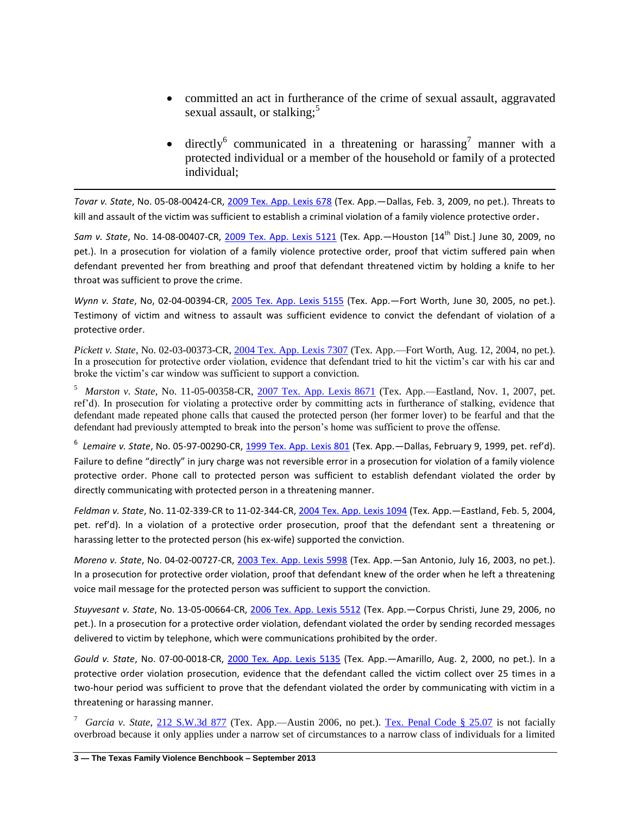- committed an act in furtherance of the crime of sexual assault, aggravated sexual assault, or stalking;<sup>5</sup>
- directly<sup>6</sup> communicated in a threatening or harassing<sup>7</sup> manner with a protected individual or a member of the household or family of a protected individual;

*Tovar v. State*, No. 05-08-00424-CR, [2009 Tex. App. Lexis 678](http://www.lexis.com/research/slft?cite=32303039205465782E204170702E204C455849532020363738&keyenum=15451&keytnum=0) (Tex. App.—Dallas, Feb. 3, 2009, no pet.). Threats to kill and assault of the victim was sufficient to establish a criminal violation of a family violence protective order.

*Sam v. State*, No. 14-08-00407-CR, [2009 Tex. App. Lexis 5121](http://www.lexis.com/research/slft?cite=32303039205465782E204170702E204C45584953202035313231&keyenum=15451&keytnum=0) (Tex. App.—Houston [14th Dist.] June 30, 2009, no pet.). In a prosecution for violation of a family violence protective order, proof that victim suffered pain when defendant prevented her from breathing and proof that defendant threatened victim by holding a knife to her throat was sufficient to prove the crime.

*Wynn v. State*, No, 02-04-00394-CR, [2005 Tex. App. Lexis 5155](http://www.lexis.com/research/slft?cite=32303035205465782E204170702E204C45584953202035313535&keyenum=15451&keytnum=0) (Tex. App.—Fort Worth, June 30, 2005, no pet.). Testimony of victim and witness to assault was sufficient evidence to convict the defendant of violation of a protective order.

*Pickett v. State*, No. 02-03-00373-CR[, 2004 Tex. App. Lexis 7307](http://www.lexis.com/research/slft?cite=32303034205465782E204170702E204C45584953202037333037&keyenum=15451&keytnum=0) (Tex. App.—Fort Worth, Aug. 12, 2004, no pet.). In a prosecution for protective order violation, evidence that defendant tried to hit the victim's car with his car and broke the victim's car window was sufficient to support a conviction.

5 *Marston v. State*, No. 11-05-00358-CR, [2007 Tex. App. Lexis 8671](http://www.lexis.com/research/slft?cite=32303037205465782E204170702E204C45584953202038363731&keyenum=15451&keytnum=0) (Tex. App.—Eastland, Nov. 1, 2007, pet. ref'd). In prosecution for violating a protective order by committing acts in furtherance of stalking, evidence that defendant made repeated phone calls that caused the protected person (her former lover) to be fearful and that the defendant had previously attempted to break into the person's home was sufficient to prove the offense.

<sup>6</sup> Lemaire v. State, No. 05-97-00290-CR, <u>1999 Tex. App. Lexis 801</u> (Tex. App.—Dallas, February 9, 1999, pet. ref'd). Failure to define "directly" in jury charge was not reversible error in a prosecution for violation of a family violence protective order. Phone call to protected person was sufficient to establish defendant violated the order by directly communicating with protected person in a threatening manner.

*Feldman v. State*, No. 11-02-339-CR to 11-02-344-CR[, 2004 Tex. App. Lexis 1094](http://www.lexis.com/research/slft?cite=32303034205465782E204170702E204C45584953202031303934&keyenum=15451&keytnum=0) (Tex. App.—Eastland, Feb. 5, 2004, pet. ref'd). In a violation of a protective order prosecution, proof that the defendant sent a threatening or harassing letter to the protected person (his ex-wife) supported the conviction.

*Moreno v. State*, No. 04-02-00727-CR, [2003 Tex. App. Lexis 5998](http://www.lexis.com/research/slft?cite=32303033205465782E204170702E204C45584953202035393938&keyenum=15451&keytnum=0) (Tex. App.—San Antonio, July 16, 2003, no pet.). In a prosecution for protective order violation, proof that defendant knew of the order when he left a threatening voice mail message for the protected person was sufficient to support the conviction.

*Stuyvesant v. State*, No. 13-05-00664-CR, [2006 Tex. App. Lexis 5512](http://www.lexis.com/research/slft?cite=32303036205465782E204170702E204C45584953202035353132&keyenum=15451&keytnum=0) (Tex. App.—Corpus Christi, June 29, 2006, no pet.). In a prosecution for a protective order violation, defendant violated the order by sending recorded messages delivered to victim by telephone, which were communications prohibited by the order.

*Gould v. State*, No. 07-00-0018-CR, [2000 Tex. App. Lexis 5135](http://www.lexis.com/research/slft?cite=32303030205465782E204170702E204C45584953202035313335&keyenum=15451&keytnum=0) (Tex. App.—Amarillo, Aug. 2, 2000, no pet.). In a protective order violation prosecution, evidence that the defendant called the victim collect over 25 times in a two-hour period was sufficient to prove that the defendant violated the order by communicating with victim in a threatening or harassing manner.

<sup>7</sup> *Garcia v. State*, [212 S.W.3d 877](http://www.lexis.com/research/slft?cite=32313220532E572E336420383737&keyenum=15451&keytnum=0) (Tex. App.—Austin 2006, no pet.). [Tex. Penal Code § 25.07](http://www.lexis.com/research/slft?cite=54582050656E616C20436F646520A72032352E3037&keyenum=15452&keytnum=0) is not facially overbroad because it only applies under a narrow set of circumstances to a narrow class of individuals for a limited

 $\overline{a}$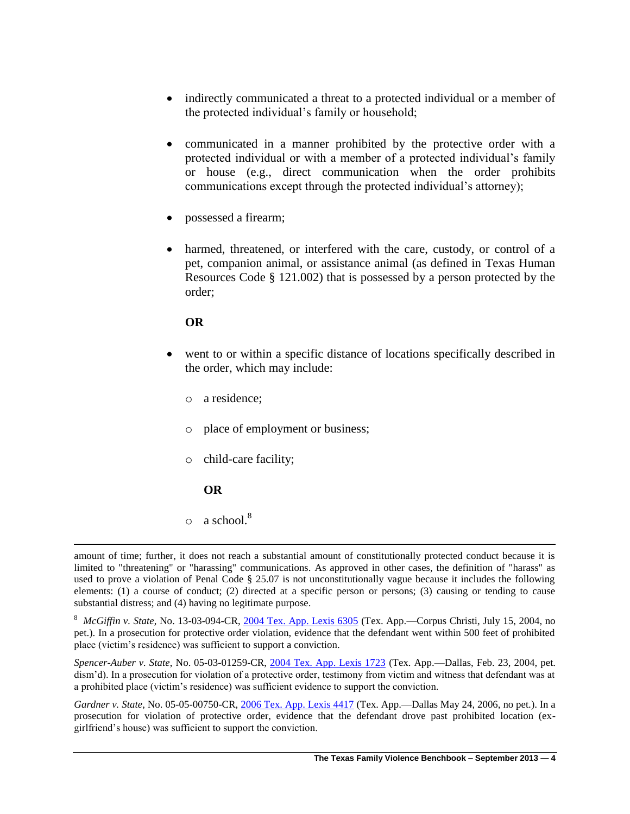- indirectly communicated a threat to a protected individual or a member of the protected individual's family or household;
- communicated in a manner prohibited by the protective order with a protected individual or with a member of a protected individual's family or house (e.g., direct communication when the order prohibits communications except through the protected individual's attorney);
- possessed a firearm;
- harmed, threatened, or interfered with the care, custody, or control of a pet, companion animal, or assistance animal (as defined in Texas Human Resources Code § 121.002) that is possessed by a person protected by the order;

- went to or within a specific distance of locations specifically described in the order, which may include:
	- o a residence;
	- o place of employment or business;
	- o child-care facility;

#### **OR**

 $\overline{a}$ 

 $\circ$  a school.<sup>8</sup>

8 *McGiffin v. State*, No. 13-03-094-CR, [2004 Tex. App. Lexis 6305](http://www.lexis.com/research/slft?cite=32303034205465782E204170702E204C45584953202036333035&keyenum=15451&keytnum=0) (Tex. App.—Corpus Christi, July 15, 2004, no pet.). In a prosecution for protective order violation, evidence that the defendant went within 500 feet of prohibited place (victim's residence) was sufficient to support a conviction.

*Spencer-Auber v. State*, No. 05-03-01259-CR, [2004 Tex. App. Lexis 1723](http://www.lexis.com/research/slft?cite=32303034205465782E204170702E204C45584953202031373233&keyenum=15451&keytnum=0) (Tex. App.—Dallas, Feb. 23, 2004, pet. dism'd). In a prosecution for violation of a protective order, testimony from victim and witness that defendant was at a prohibited place (victim's residence) was sufficient evidence to support the conviction.

*Gardner v. State*, No. 05-05-00750-CR, [2006 Tex. App. Lexis 4417](http://www.lexis.com/research/slft?cite=32303036205465782E204170702E204C45584953202034343137&keyenum=15451&keytnum=0) (Tex. App.—Dallas May 24, 2006, no pet.). In a prosecution for violation of protective order, evidence that the defendant drove past prohibited location (exgirlfriend's house) was sufficient to support the conviction.

amount of time; further, it does not reach a substantial amount of constitutionally protected conduct because it is limited to "threatening" or "harassing" communications. As approved in other cases, the definition of "harass" as used to prove a violation of Penal Code § 25.07 is not unconstitutionally vague because it includes the following elements: (1) a course of conduct; (2) directed at a specific person or persons; (3) causing or tending to cause substantial distress; and (4) having no legitimate purpose.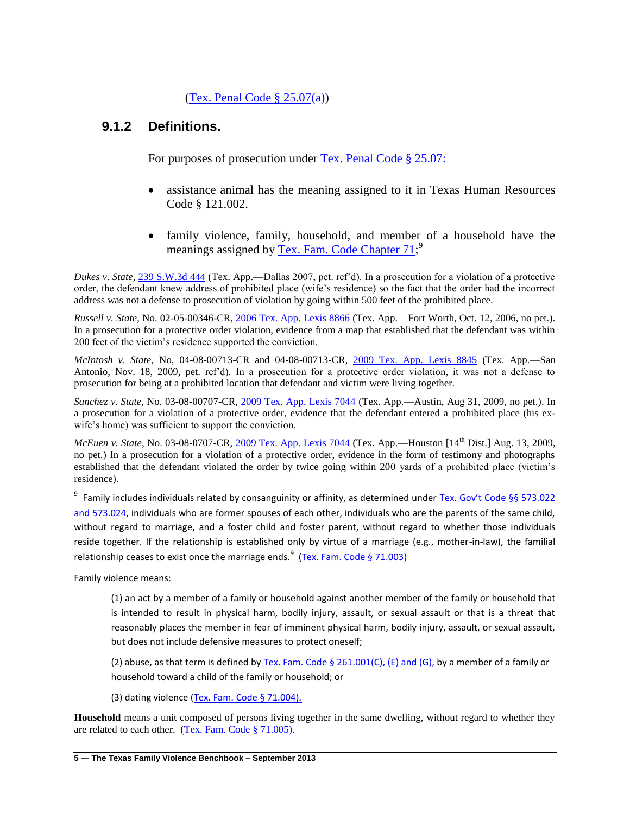#### (Tex. Penal Code  $\S 25.07(a)$ )

### **9.1.2 Definitions.**

For purposes of prosecution under [Tex. Penal Code § 25.07:](http://www.lexis.com/research/slft?cite=54582050656E616C20436F646520A72032352E30373A&keyenum=15452&keytnum=0)

- assistance animal has the meaning assigned to it in Texas Human Resources Code § 121.002.
- family violence, family, household, and member of a household have the meanings assigned by [Tex. Fam. Code Chapter 71;](http://www.lexis.com/research/slft?cite=54582046616D696C7920436F64652043686170746572203731&keyenum=15452&keytnum=0)<sup>9</sup>

*Dukes v. State*, [239 S.W.3d 444](http://www.lexis.com/research/slft?cite=32333920532E572E336420343434&keyenum=15451&keytnum=0) (Tex. App.—Dallas 2007, pet. ref'd). In a prosecution for a violation of a protective order, the defendant knew address of prohibited place (wife's residence) so the fact that the order had the incorrect address was not a defense to prosecution of violation by going within 500 feet of the prohibited place.

*Russell v. State*, No. 02-05-00346-CR, 2006 [Tex. App. Lexis 8866](http://www.lexis.com/research/slft?cite=32303036205465782E204170702E204C45584953202038383636&keyenum=15451&keytnum=0) (Tex. App.—Fort Worth, Oct. 12, 2006, no pet.). In a prosecution for a protective order violation, evidence from a map that established that the defendant was within 200 feet of the victim's residence supported the conviction.

*McIntosh v. State*, No, 04-08-00713-CR and 04-08-00713-CR, [2009 Tex. App. Lexis 8845](http://www.lexis.com/research/slft?cite=32303039205465782E204170702E204C45584953202038383435&keyenum=15451&keytnum=0) (Tex. App.—San Antonio, Nov. 18, 2009, pet. ref'd). In a prosecution for a protective order violation, it was not a defense to prosecution for being at a prohibited location that defendant and victim were living together.

*Sanchez v. State*, No. 03-08-00707-CR, [2009 Tex. App. Lexis 7044](http://www.lexis.com/research/slft?cite=32303039205465782E204170702E204C45584953202037303434&keyenum=15451&keytnum=0) (Tex. App.—Austin, Aug 31, 2009, no pet.). In a prosecution for a violation of a protective order, evidence that the defendant entered a prohibited place (his exwife's home) was sufficient to support the conviction.

*McEuen v. State*, No. 03-08-0707-CR, [2009 Tex. App. Lexis 7044](http://www.lexis.com/research/slft?cite=32303039205465782E204170702E204C45584953202037303434&keyenum=15451&keytnum=0) (Tex. App.—Houston [14<sup>th</sup> Dist.] Aug. 13, 2009. no pet.) In a prosecution for a violation of a protective order, evidence in the form of testimony and photographs established that the defendant violated the order by twice going within 200 yards of a prohibited place (victim's residence).

<sup>9</sup> Family includes individuals related by consanguinity or affinity, as determined under [Tex. Gov't Code §§ 573.022](http://www.lexis.com/research/slft?cite=545820476F7665726E6D656E7420436F646520A7A7203537332E303232&keyenum=15452&keytnum=0) and 573.024, individuals who are former spouses of each other, individuals who are the parents of the same child, without regard to marriage, and a foster child and foster parent, without regard to whether those individuals reside together. If the relationship is established only by virtue of a marriage (e.g., mother-in-law), the familial relationship ceases to exist once the marriage ends.<sup>9</sup> [\(Tex. Fam. Code § 71.003\)](http://www.lexis.com/research/slft?cite=54582046616D696C7920436F646520A72037312E30303329&keyenum=15452&keytnum=0)

Family violence means:

 $\overline{\phantom{a}}$ 

(1) an act by a member of a family or household against another member of the family or household that is intended to result in physical harm, bodily injury, assault, or sexual assault or that is a threat that reasonably places the member in fear of imminent physical harm, bodily injury, assault, or sexual assault, but does not include defensive measures to protect oneself;

(2) abuse, as that term is defined by Tex. Fam. Code  $\S$  261.001(C), (E) and (G), by a member of a family or household toward a child of the family or household; or

(3) dating violence [\(Tex. Fam. Code § 71.004\).](http://www.lexis.com/research/slft?cite=54582046616D696C7920436F646520A72037312E303034292E&keyenum=15452&keytnum=0)

**Household** means a unit composed of persons living together in the same dwelling, without regard to whether they are related to each other. [\(Tex. Fam. Code § 71.005\).](http://www.lexis.com/research/slft?cite=54582046616D696C7920436F646520A72037312E303035292E&keyenum=15452&keytnum=0)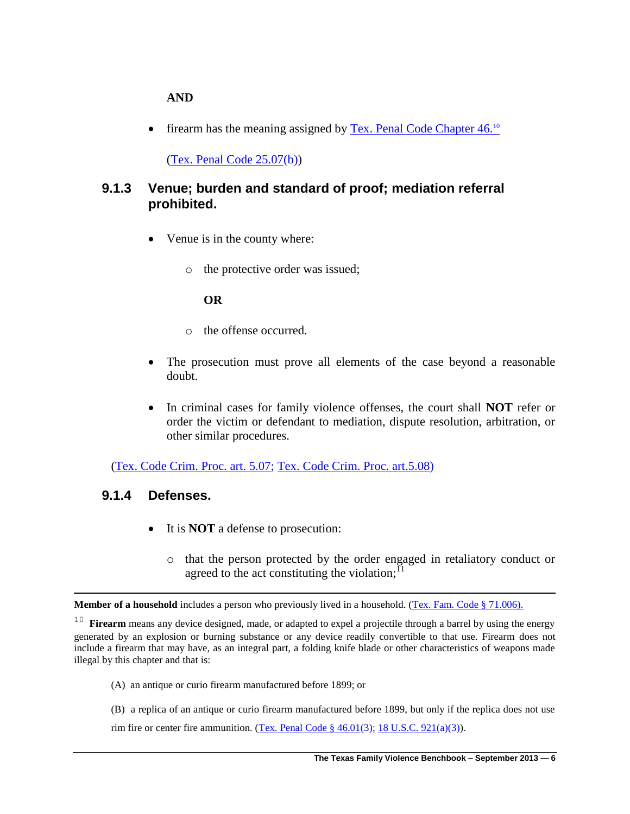#### **AND**

firearm has the meaning assigned by [Tex. Penal Code Chapter 46.](http://www.lexis.com/research/slft?cite=54582050656E616C20436F646520436861707465722034362E2&keyenum=15452&keytnum=0)<sup>10</sup>

[\(Tex. Penal Code 25.07\(](http://www.lexis.com/research/slft?cite=54582050656E616C20436F646520436F64652032352E3037&keyenum=15452&keytnum=0)b))

## **9.1.3 Venue; burden and standard of proof; mediation referral prohibited.**

- Venue is in the county where:
	- o the protective order was issued;

#### **OR**

- o the offense occurred.
- The prosecution must prove all elements of the case beyond a reasonable doubt.
- In criminal cases for family violence offenses, the court shall **NOT** refer or order the victim or defendant to mediation, dispute resolution, arbitration, or other similar procedures.

[\(Tex. Code Crim. Proc. art. 5.07;](http://www.lexis.com/research/slft?cite=5465782E20436F6465204372696D2E2050726F632E206172742E20352E3037&keyenum=15452&keytnum=0) [Tex. Code Crim. Proc. art.5.08\)](http://www.lexis.com/research/xlink?app=00075&view=full&searchtype=get&search=Tex.+Code+Crim.+Proc.+art.+5.08)

#### **9.1.4 Defenses.**

 $\overline{\phantom{a}}$ 

- It is **NOT** a defense to prosecution:
	- o that the person protected by the order engaged in retaliatory conduct or agreed to the act constituting the violation;<sup> $^{11}$ </sup>

Member of a household includes a person who previously lived in a household. (Tex. [Fam. Code § 71.006\).](http://www.lexis.com/research/slft?cite=54582046616D696C7920436F646520A72037312E303036292E&keyenum=15452&keytnum=0)

<sup>10</sup> **Firearm** means any device designed, made, or adapted to expel a projectile through a barrel by using the energy generated by an explosion or burning substance or any device readily convertible to that use. Firearm does not include a firearm that may have, as an integral part, a folding knife blade or other characteristics of weapons made illegal by this chapter and that is:

- (A) an antique or curio firearm manufactured before 1899; or
- (B) a replica of an antique or curio firearm manufactured before 1899, but only if the replica does not use
- rim fire or center fire ammunition. (Tex. Penal Code §  $46.01(3)$ ; [18 U.S.C. 921\(](http://www.lexis.com/research/slft?cite=31382055534320393231&keyenum=15452&keytnum=0)a)(3)).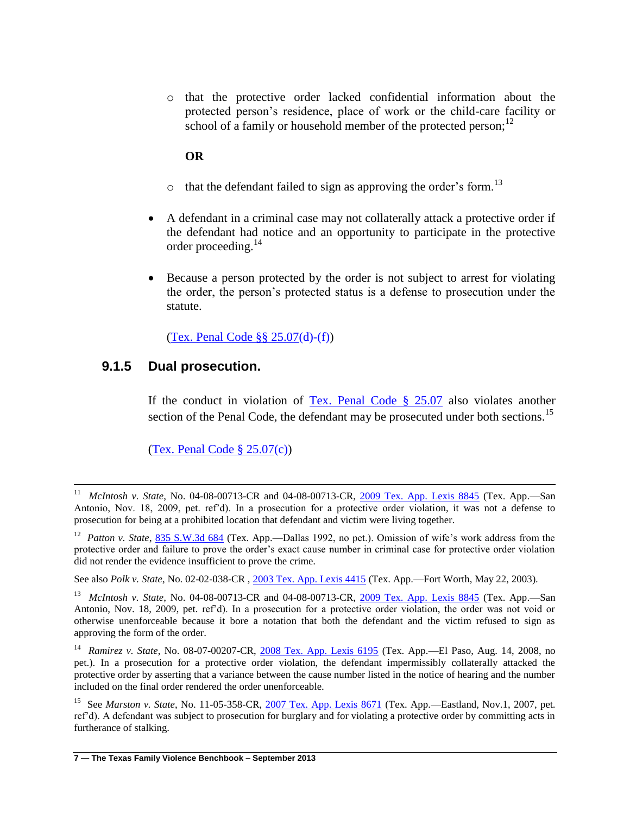o that the protective order lacked confidential information about the protected person's residence, place of work or the child-care facility or school of a family or household member of the protected person:<sup>12</sup>

#### **OR**

- $\circ$  that the defendant failed to sign as approving the order's form.<sup>13</sup>
- A defendant in a criminal case may not collaterally attack a protective order if the defendant had notice and an opportunity to participate in the protective order proceeding. $^{14}$
- Because a person protected by the order is not subject to arrest for violating the order, the person's protected status is a defense to prosecution under the statute.

[\(Tex. Penal Code §§ 25.07\(](http://www.lexis.com/research/slft?cite=54582050656E616C20436F646520A7A72032352E3037&keyenum=15452&keytnum=0)d)-(f))

### **9.1.5 Dual prosecution.**

 $\overline{a}$ 

If the conduct in violation of Tex. Penal Code  $\S$  25.07 also violates another section of the Penal Code, the defendant may be prosecuted under both sections.<sup>15</sup>

 $(Tex. Penal Code § 25.07(c))$  $(Tex. Penal Code § 25.07(c))$ 

<sup>11</sup> *McIntosh v. State*, No. 04-08-00713-CR and 04-08-00713-CR, [2009 Tex. App. Lexis 8845](http://www.lexis.com/research/slft?cite=32303039205465782E204170702E204C45584953202038383435&keyenum=15451&keytnum=0) (Tex. App.—San Antonio, Nov. 18, 2009, pet. ref'd). In a prosecution for a protective order violation, it was not a defense to prosecution for being at a prohibited location that defendant and victim were living together.

<sup>&</sup>lt;sup>12</sup> *Patton v. State*, [835 S.W.3d 684](http://www.lexis.com/research/slft?cite=38333520532E572E336420363834&keyenum=15451&keytnum=0) (Tex. App.—Dallas 1992, no pet.). Omission of wife's work address from the protective order and failure to prove the order's exact cause number in criminal case for protective order violation did not render the evidence insufficient to prove the crime.

See also *Polk v. State*, No. 02-02-038-CR , [2003 Tex. App. Lexis 4415](http://www.lexis.com/research/slft?cite=32303033205465782E204170702E204C45584953202034343135&keyenum=15451&keytnum=0) (Tex. App.—Fort Worth, May 22, 2003).

<sup>&</sup>lt;sup>13</sup> *McIntosh v. State*, No. 04-08-00713-CR and 04-08-00713-CR, [2009 Tex. App. Lexis 8845](http://www.lexis.com/research/slft?cite=32303039205465782E204170702E204C45584953202038383435&keyenum=15451&keytnum=0) (Tex. App.—San Antonio, Nov. 18, 2009, pet. ref'd). In a prosecution for a protective order violation, the order was not void or otherwise unenforceable because it bore a notation that both the defendant and the victim refused to sign as approving the form of the order.

<sup>&</sup>lt;sup>14</sup> Ramirez v. State, No. 08-07-00207-CR, [2008 Tex. App. Lexis 6195](http://www.lexis.com/research/slft?cite=32303038205465782E204170702E204C45584953202036313935&keyenum=15451&keytnum=0) (Tex. App.—El Paso, Aug. 14, 2008, no pet.). In a prosecution for a protective order violation, the defendant impermissibly collaterally attacked the protective order by asserting that a variance between the cause number listed in the notice of hearing and the number included on the final order rendered the order unenforceable.

<sup>&</sup>lt;sup>15</sup> See *Marston v. State*, No. 11-05-358-CR, [2007 Tex. App. Lexis 8671](http://www.lexis.com/research/slft?cite=32303037205465782E204170702E204C45584953202038363731&keyenum=15451&keytnum=0) (Tex. App.—Eastland, Nov.1, 2007, pet. ref'd). A defendant was subject to prosecution for burglary and for violating a protective order by committing acts in furtherance of stalking.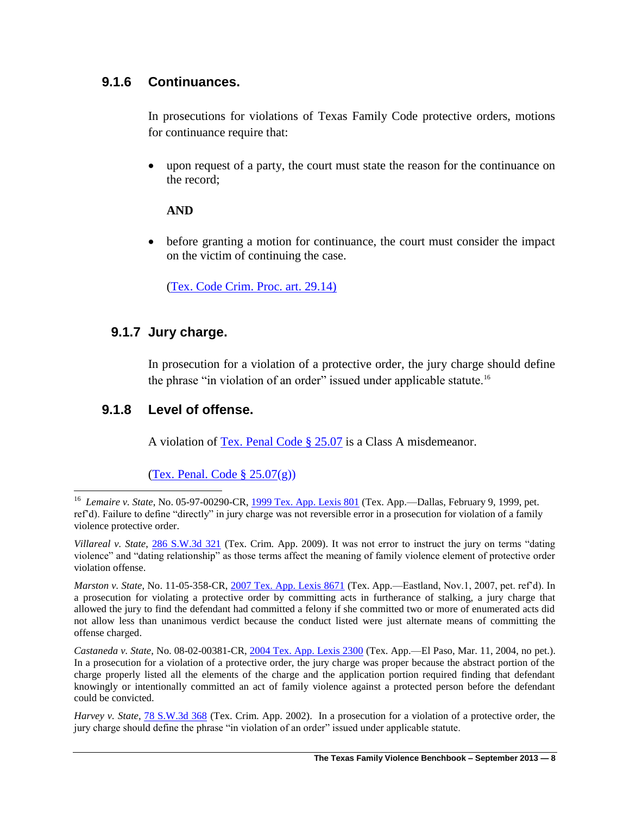## **9.1.6 Continuances.**

In prosecutions for violations of Texas Family Code protective orders, motions for continuance require that:

 upon request of a party, the court must state the reason for the continuance on the record;

### **AND**

 before granting a motion for continuance, the court must consider the impact on the victim of continuing the case.

[\(Tex. Code Crim. Proc. art. 29.14\)](http://www.lexis.com/research/slft?cite=5465782E20436F6465204372696D2E2050726F632E206172742E2032392E313429&keyenum=15452&keytnum=0)

## **9.1.7 Jury charge.**

In prosecution for a violation of a protective order, the jury charge should define the phrase "in violation of an order" issued under applicable statute.<sup>16</sup>

### **9.1.8 Level of offense.**

A violation of [Tex. Penal Code § 25.07](http://www.lexis.com/research/slft?cite=54582050656E616C20436F646520A72032352E3037&keyenum=15452&keytnum=0) is a Class A misdemeanor.

(Tex. Penal. Code  $\S 25.07(g)$ )

 16 *Lemaire v. State*, No. 05-97-00290-CR, [1999 Tex. App. Lexis 801](http://www.lexis.com/research/slft?cite=31393939205465782E204170702E204C455849532020383031&keyenum=15451&keytnum=0) (Tex. App.—Dallas, February 9, 1999, pet. ref'd). Failure to define "directly" in jury charge was not reversible error in a prosecution for violation of a family violence protective order.

*Villareal v. State*, [286 S.W.3d 321](http://www.lexis.com/research/slft?cite=32383620532E572E336420333231&keyenum=15451&keytnum=0) (Tex. Crim. App. 2009). It was not error to instruct the jury on terms "dating violence" and "dating relationship" as those terms affect the meaning of family violence element of protective order violation offense.

*Marston v. State*, No. 11-05-358-CR, [2007 Tex. App. Lexis 8671](http://www.lexis.com/research/slft?cite=32303037205465782E204170702E204C45584953202038363731&keyenum=15451&keytnum=0) (Tex. App.—Eastland, Nov.1, 2007, pet. ref'd). In a prosecution for violating a protective order by committing acts in furtherance of stalking, a jury charge that allowed the jury to find the defendant had committed a felony if she committed two or more of enumerated acts did not allow less than unanimous verdict because the conduct listed were just alternate means of committing the offense charged.

*Castaneda v. State*, No. 08-02-00381-CR[, 2004 Tex. App. Lexis 2300](http://www.lexis.com/research/slft?cite=32303034205465782E204170702E204C45584953202032333030&keyenum=15451&keytnum=0) (Tex. App.—El Paso, Mar. 11, 2004, no pet.). In a prosecution for a violation of a protective order, the jury charge was proper because the abstract portion of the charge properly listed all the elements of the charge and the application portion required finding that defendant knowingly or intentionally committed an act of family violence against a protected person before the defendant could be convicted.

*Harvey v. State*, [78 S.W.3d 368](http://www.lexis.com/research/slft?cite=373820532E572E336420333638&keyenum=15451&keytnum=0) (Tex. Crim. App. 2002). In a prosecution for a violation of a protective order, the jury charge should define the phrase "in violation of an order" issued under applicable statute.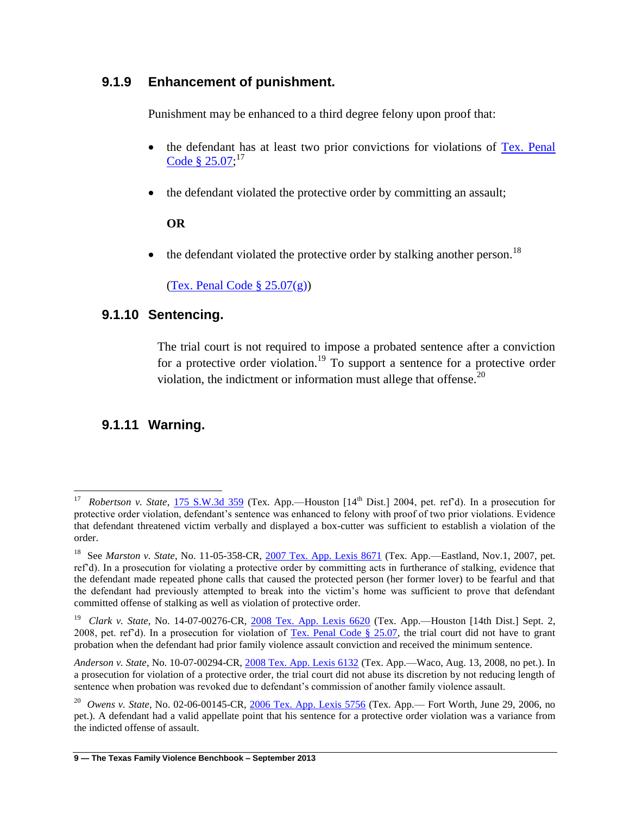## **9.1.9 Enhancement of punishment.**

Punishment may be enhanced to a third degree felony upon proof that:

- the defendant has at least two prior convictions for violations of [Tex. Penal](http://www.lexis.com/research/slft?cite=54582050656E616C20436F646520A72032352E3037&keyenum=15452&keytnum=0)  Code §  $25.07$ ;<sup>17</sup>
- the defendant violated the protective order by committing an assault;

#### **OR**

the defendant violated the protective order by stalking another person.<sup>18</sup>

(Tex. Penal Code  $\S 25.07(g)$ )

### **9.1.10 Sentencing.**

The trial court is not required to impose a probated sentence after a conviction for a protective order violation.<sup>19</sup> To support a sentence for a protective order violation, the indictment or information must allege that offense.<sup>20</sup>

## **9.1.11 Warning.**

<sup>&</sup>lt;sup>17</sup> *Robertson v. State*, <u>175 S.W.3d 359</u> (Tex. App.—Houston [14<sup>th</sup> Dist.] 2004, pet. ref'd). In a prosecution for protective order violation, defendant's sentence was enhanced to felony with proof of two prior violations. Evidence that defendant threatened victim verbally and displayed a box-cutter was sufficient to establish a violation of the order.

<sup>&</sup>lt;sup>18</sup> See *Marston v. State*, No. 11-05-358-CR, [2007 Tex. App. Lexis 8671](http://www.lexis.com/research/slft?cite=32303037205465782E204170702E204C45584953202038363731&keyenum=15451&keytnum=0) (Tex. App.—Eastland, Nov.1, 2007, pet. ref'd). In a prosecution for violating a protective order by committing acts in furtherance of stalking, evidence that the defendant made repeated phone calls that caused the protected person (her former lover) to be fearful and that the defendant had previously attempted to break into the victim's home was sufficient to prove that defendant committed offense of stalking as well as violation of protective order.

<sup>19</sup> *Clark v. State*, No. 14-07-00276-CR, [2008 Tex. App. Lexis 6620](http://www.lexis.com/research/slft?cite=32303038205465782E204170702E204C45584953202036363230&keyenum=15451&keytnum=0) (Tex. App.—Houston [14th Dist.] Sept. 2, 2008, pet. ref'd). In a prosecution for violation of Tex. Penal Code  $\S$  25.07, the trial court did not have to grant probation when the defendant had prior family violence assault conviction and received the minimum sentence.

*Anderson v. State*, No. 10-07-00294-CR, [2008 Tex. App. Lexis 6132](http://www.lexis.com/research/slft?cite=32303038205465782E204170702E204C45584953202036313332&keyenum=15451&keytnum=0) (Tex. App.—Waco, Aug. 13, 2008, no pet.). In a prosecution for violation of a protective order, the trial court did not abuse its discretion by not reducing length of sentence when probation was revoked due to defendant's commission of another family violence assault.

<sup>20</sup> *Owens v. State*, No. 02-06-00145-CR, [2006 Tex. App. Lexis 5756](http://www.lexis.com/research/slft?cite=32303036205465782E204170702E204C45584953202035373536&keyenum=15451&keytnum=0) (Tex. App.— Fort Worth, June 29, 2006, no pet.). A defendant had a valid appellate point that his sentence for a protective order violation was a variance from the indicted offense of assault.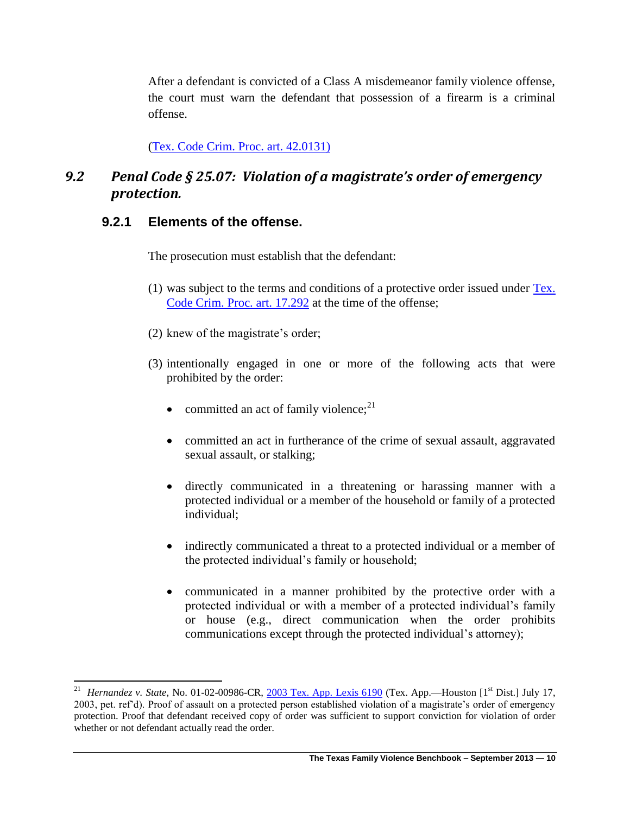After a defendant is convicted of a Class A misdemeanor family violence offense, the court must warn the defendant that possession of a firearm is a criminal offense.

[\(Tex. Code Crim. Proc. art. 42.0131\)](http://www.lexis.com/research/slft?cite=5465782E20436F6465204372696D2E2050726F632E206172742E2034322E3031333129&keyenum=15452&keytnum=0) 

## *9.2 Penal Code § 25.07: Violation of a magistrate's order of emergency protection.*

## **9.2.1 Elements of the offense.**

 $\overline{\phantom{a}}$ 

The prosecution must establish that the defendant:

- (1) was subject to the terms and conditions of a protective order issued under [Tex.](http://www.lexis.com/research/slft?cite=5465782E20436F6465204372696D2E2050726F632E206172742E2031372E323932&keyenum=15452&keytnum=0)  [Code Crim. Proc. art. 17.292](http://www.lexis.com/research/slft?cite=5465782E20436F6465204372696D2E2050726F632E206172742E2031372E323932&keyenum=15452&keytnum=0) at the time of the offense;
- (2) knew of the magistrate's order;
- (3) intentionally engaged in one or more of the following acts that were prohibited by the order:
	- committed an act of family violence; $^{21}$
	- committed an act in furtherance of the crime of sexual assault, aggravated sexual assault, or stalking;
	- directly communicated in a threatening or harassing manner with a protected individual or a member of the household or family of a protected individual;
	- indirectly communicated a threat to a protected individual or a member of the protected individual's family or household;
	- communicated in a manner prohibited by the protective order with a protected individual or with a member of a protected individual's family or house (e.g., direct communication when the order prohibits communications except through the protected individual's attorney);

<sup>&</sup>lt;sup>21</sup> *Hernandez v. State*, No. 01-02-00986-CR, [2003 Tex. App. Lexis 6190](http://www.lexis.com/research/slft?cite=32303033205465782E204170702E204C45584953202036313930&keyenum=15451&keytnum=0) (Tex. App.—Houston [1<sup>st</sup> Dist.] July 17, 2003, pet. ref'd). Proof of assault on a protected person established violation of a magistrate's order of emergency protection. Proof that defendant received copy of order was sufficient to support conviction for violation of order whether or not defendant actually read the order.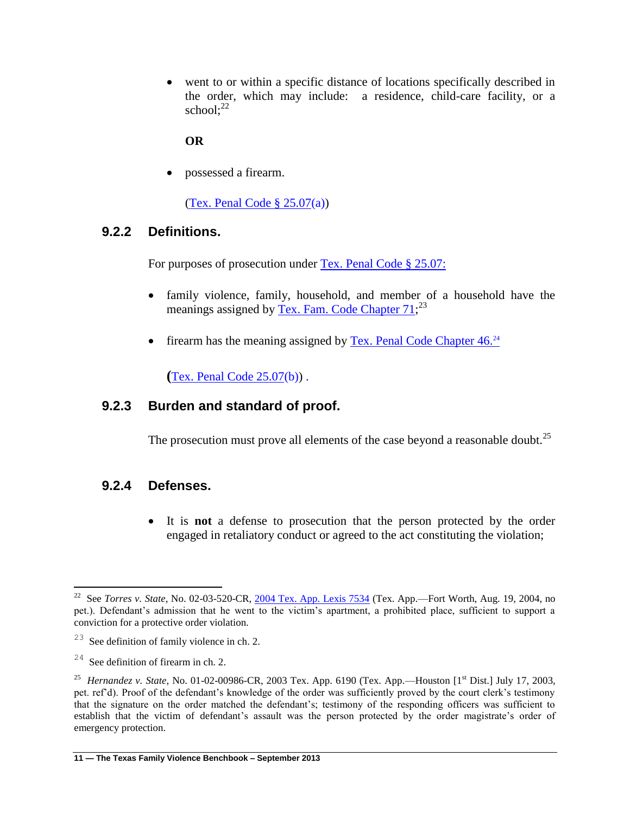went to or within a specific distance of locations specifically described in the order, which may include: a residence, child-care facility, or a school: $22$ 

#### **OR**

possessed a firearm.

[\(Tex. Penal Code § 25.07\(](http://www.lexis.com/research/slft?cite=54582050656E616C20436F646520A72032352E3037&keyenum=15452&keytnum=0)a))

### **9.2.2 Definitions.**

For purposes of prosecution under [Tex. Penal Code § 25.07:](http://www.lexis.com/research/slft?cite=54582050656E616C20436F646520A72032352E30373A&keyenum=15452&keytnum=0)

- family violence, family, household, and member of a household have the meanings assigned by [Tex. Fam. Code Chapter 71;](http://www.lexis.com/research/slft?cite=54582046616D696C7920436F64652043686170746572203731&keyenum=15452&keytnum=0)<sup>23</sup>
- firearm has the meaning assigned by [Tex. Penal Code Chapter 46.](http://www.lexis.com/research/slft?cite=54582050656E616C20436F646520436861707465722034362E2&keyenum=15452&keytnum=0)<sup>24</sup>

**(**[Tex. Penal Code 25.07\(](http://www.lexis.com/research/slft?cite=54582050656E616C20436F646520436F64652032352E3037&keyenum=15452&keytnum=0)b)) .

### **9.2.3 Burden and standard of proof.**

The prosecution must prove all elements of the case beyond a reasonable doubt.<sup>25</sup>

### **9.2.4 Defenses.**

 It is **not** a defense to prosecution that the person protected by the order engaged in retaliatory conduct or agreed to the act constituting the violation;

 22 See *Torres v. State*, No. 02-03-520-CR, [2004 Tex. App.](http://www.lexis.com/research/slft?cite=32303034205465782E204170702E204C45584953202037353334&keyenum=15451&keytnum=0) Lexis 7534 (Tex. App.—Fort Worth, Aug. 19, 2004, no pet.). Defendant's admission that he went to the victim's apartment, a prohibited place, sufficient to support a conviction for a protective order violation.

 $2<sup>23</sup>$  See definition of family violence in ch. 2.

 $24$  See definition of firearm in ch. 2.

<sup>&</sup>lt;sup>25</sup> *Hernandez v. State*, No. 01-02-00986-CR, 2003 Tex. App. 6190 (Tex. App.—Houston [1<sup>st</sup> Dist.] July 17, 2003, pet. ref'd). Proof of the defendant's knowledge of the order was sufficiently proved by the court clerk's testimony that the signature on the order matched the defendant's; testimony of the responding officers was sufficient to establish that the victim of defendant's assault was the person protected by the order magistrate's order of emergency protection.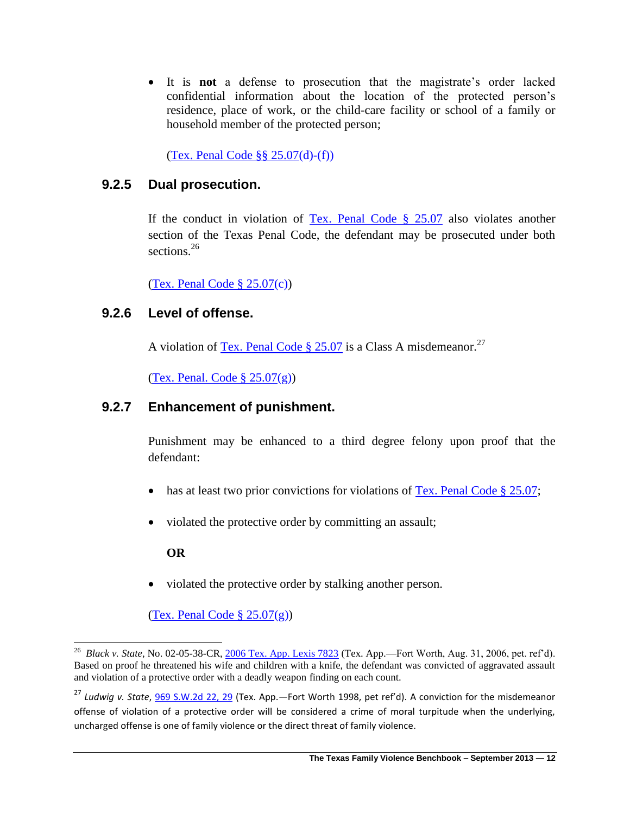It is **not** a defense to prosecution that the magistrate's order lacked confidential information about the location of the protected person's residence, place of work, or the child-care facility or school of a family or household member of the protected person;

[\(Tex. Penal Code §§ 25.07\(](http://www.lexis.com/research/slft?cite=54582050656E616C20436F646520A7A72032352E3037&keyenum=15452&keytnum=0)d)-(f))

## **9.2.5 Dual prosecution.**

If the conduct in violation of [Tex. Penal Code §](http://www.lexis.com/research/slft?cite=54582050656E616C20436F646520A72032352E3037&keyenum=15452&keytnum=0) 25.07 also violates another section of the Texas Penal Code, the defendant may be prosecuted under both sections.<sup>26</sup>

[\(Tex. Penal Code § 25.07\(](http://www.lexis.com/research/slft?cite=54582050656E616C20436F646520A72032352E3037&keyenum=15452&keytnum=0)c))

### **9.2.6 Level of offense.**

A violation of [Tex. Penal Code § 25.07](http://www.lexis.com/research/slft?cite=54582050656E616C20436F646520A72032352E3037&keyenum=15452&keytnum=0) is a Class A misdemeanor.<sup>27</sup>

(Tex. Penal. Code  $\S 25.07(g)$ )

### **9.2.7 Enhancement of punishment.**

Punishment may be enhanced to a third degree felony upon proof that the defendant:

- has at least two prior convictions for violations of [Tex. Penal Code § 25.07;](http://www.lexis.com/research/slft?cite=54582050656E616C20436F646520A72032352E3037&keyenum=15452&keytnum=0)
- violated the protective order by committing an assault;

#### **OR**

• violated the protective order by stalking another person.

(Tex. Penal Code  $\S 25.07(g)$ )

 26 *Black v. State*, No. 02-05-38-CR, [2006 Tex. App. Lexis 7823](http://www.lexis.com/research/slft?cite=32303036205465782E204170702E204C45584953202037383233&keyenum=15451&keytnum=0) (Tex. App.—Fort Worth, Aug. 31, 2006, pet. ref'd). Based on proof he threatened his wife and children with a knife, the defendant was convicted of aggravated assault and violation of a protective order with a deadly weapon finding on each count.

<sup>27</sup> *Ludwig v. State*, [969 S.W.2d 22, 29](http://www.lexis.com/research/slft?cite=39363920532E572E3264203232&keyenum=15451&keytnum=0) (Tex. App.—Fort Worth 1998, pet ref'd). A conviction for the misdemeanor offense of violation of a protective order will be considered a crime of moral turpitude when the underlying, uncharged offense is one of family violence or the direct threat of family violence.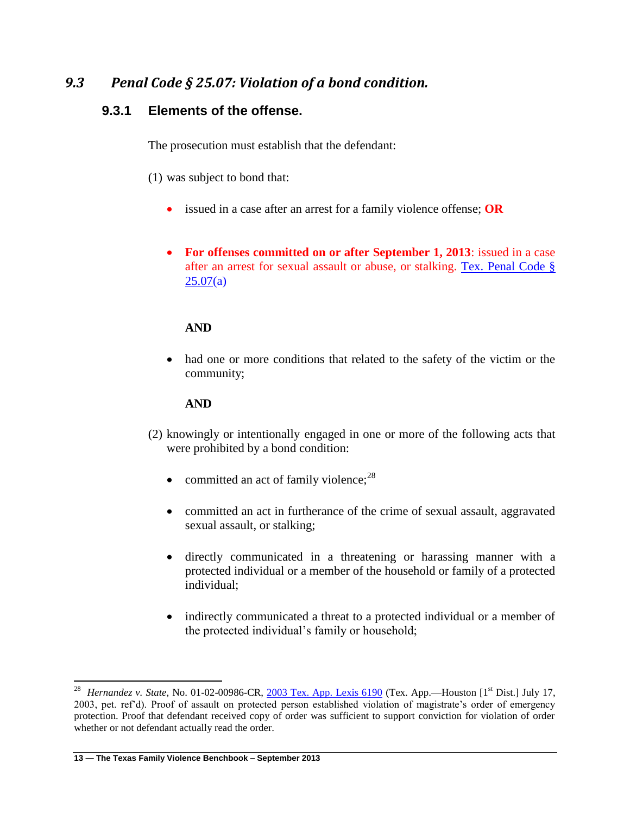## *9.3 Penal Code § 25.07: Violation of a bond condition.*

## **9.3.1 Elements of the offense.**

The prosecution must establish that the defendant:

- (1) was subject to bond that:
	- issued in a case after an arrest for a family violence offense; **OR**
	- **For offenses committed on or after September 1, 2013**: issued in a case after an arrest for sexual assault or abuse, or stalking. [Tex. Penal Code §](http://www.lexis.com/research/slft?cite=54582050656E616C20436F646520A72032352E3037&keyenum=15452&keytnum=0)   $25.07(a)$  $25.07(a)$

#### **AND**

 had one or more conditions that related to the safety of the victim or the community;

#### **AND**

- (2) knowingly or intentionally engaged in one or more of the following acts that were prohibited by a bond condition:
	- committed an act of family violence; $^{28}$
	- committed an act in furtherance of the crime of sexual assault, aggravated sexual assault, or stalking;
	- directly communicated in a threatening or harassing manner with a protected individual or a member of the household or family of a protected individual;
	- indirectly communicated a threat to a protected individual or a member of the protected individual's family or household;

 $\overline{\phantom{a}}$ 

<sup>&</sup>lt;sup>28</sup> *Hernandez v. State*, No. 01-02-00986-CR, [2003 Tex. App. Lexis 6190](http://www.lexis.com/research/slft?cite=32303033205465782E204170702E204C45584953202036313930&keyenum=15451&keytnum=0) (Tex. App.—Houston [1<sup>st</sup> Dist.] July 17, 2003, pet. ref'd). Proof of assault on protected person established violation of magistrate's order of emergency protection. Proof that defendant received copy of order was sufficient to support conviction for violation of order whether or not defendant actually read the order.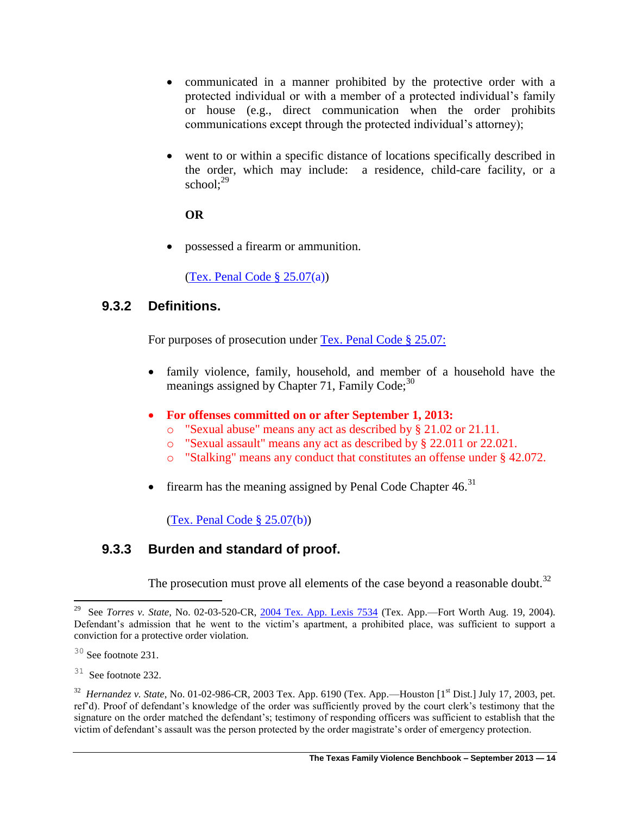- communicated in a manner prohibited by the protective order with a protected individual or with a member of a protected individual's family or house (e.g., direct communication when the order prohibits communications except through the protected individual's attorney);
- went to or within a specific distance of locations specifically described in the order, which may include: a residence, child-care facility, or a school: $29$

possessed a firearm or ammunition.

[\(Tex. Penal Code § 25.07\(](http://www.lexis.com/research/slft?cite=54582050656E616C20436F646520A72032352E3037&keyenum=15452&keytnum=0)a))

## **9.3.2 Definitions.**

For purposes of prosecution under [Tex. Penal Code § 25.07:](http://www.lexis.com/research/slft?cite=54582050656E616C20436F646520A72032352E30373A&keyenum=15452&keytnum=0)

- family violence, family, household, and member of a household have the meanings assigned by Chapter 71, Family Code; $30$
- **For offenses committed on or after September 1, 2013:**
	- o "Sexual abuse" means any act as described by § 21.02 or 21.11.
	- o "Sexual assault" means any act as described by § 22.011 or 22.021.
	- o "Stalking" means any conduct that constitutes an offense under § 42.072.
- firearm has the meaning assigned by Penal Code Chapter  $46.31$

[\(Tex. Penal Code § 25.07\(](http://www.lexis.com/research/slft?cite=54582050656E616C20436F646520A72032352E3037&keyenum=15452&keytnum=0)b))

## **9.3.3 Burden and standard of proof.**

The prosecution must prove all elements of the case beyond a reasonable doubt.<sup>32</sup>

 29 See *Torres v. State*, No. 02-03-520-CR, [2004 Tex. App. Lexis 7534](http://www.lexis.com/research/slft?cite=32303034205465782E204170702E204C45584953202037353334&keyenum=15451&keytnum=0) (Tex. App.—Fort Worth Aug. 19, 2004). Defendant's admission that he went to the victim's apartment, a prohibited place, was sufficient to support a conviction for a protective order violation.

 $30$  See footnote 231.

 $31$  See footnote 232.

<sup>32</sup> *Hernandez v. State*, No. 01-02-986-CR, 2003 Tex. App. 6190 (Tex. App.—Houston [1st Dist.] July 17, 2003, pet. ref'd). Proof of defendant's knowledge of the order was sufficiently proved by the court clerk's testimony that the signature on the order matched the defendant's; testimony of responding officers was sufficient to establish that the victim of defendant's assault was the person protected by the order magistrate's order of emergency protection.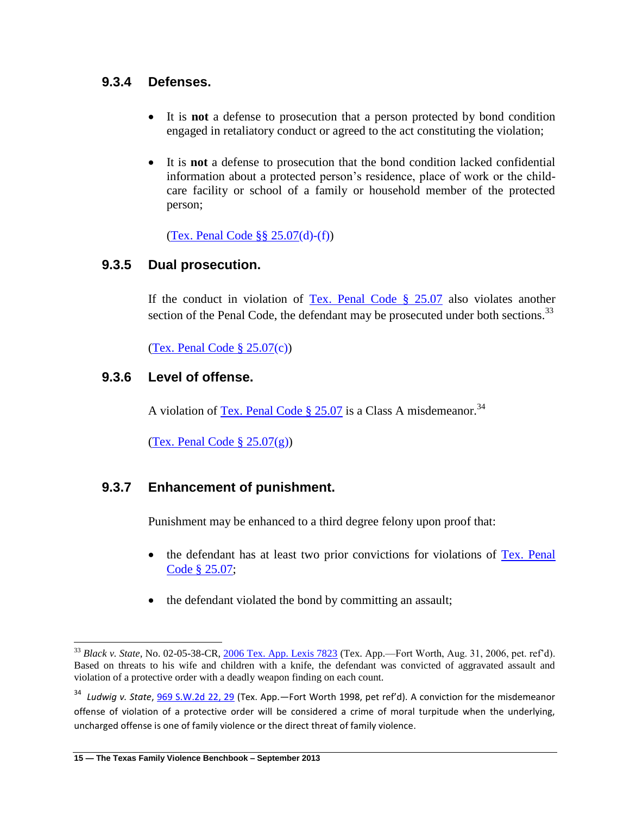## **9.3.4 Defenses.**

- It is **not** a defense to prosecution that a person protected by bond condition engaged in retaliatory conduct or agreed to the act constituting the violation;
- It is **not** a defense to prosecution that the bond condition lacked confidential information about a protected person's residence, place of work or the childcare facility or school of a family or household member of the protected person;

[\(Tex. Penal Code §§ 25.07\(](http://www.lexis.com/research/slft?cite=54582050656E616C20436F646520A7A72032352E3037&keyenum=15452&keytnum=0)d)-(f))

## **9.3.5 Dual prosecution.**

If the conduct in violation of  $Tex. Penal Code § 25.07 also violates another$ </u> section of the Penal Code, the defendant may be prosecuted under both sections.<sup>33</sup>

[\(Tex. Penal Code § 25.07\(](http://www.lexis.com/research/slft?cite=54582050656E616C20436F646520A72032352E3037&keyenum=15452&keytnum=0)c))

## **9.3.6 Level of offense.**

A violation of [Tex. Penal Code § 25.07](http://www.lexis.com/research/slft?cite=54582050656E616C20436F646520A72032352E3037&keyenum=15452&keytnum=0) is a Class A misdemeanor.<sup>34</sup>

(Tex. Penal Code  $\S 25.07(g)$ )

## **9.3.7 Enhancement of punishment.**

Punishment may be enhanced to a third degree felony upon proof that:

- the defendant has at least two prior convictions for violations of Tex. Penal [Code § 25.07;](http://www.lexis.com/research/slft?cite=54582050656E616C20436F646520A72032352E3037&keyenum=15452&keytnum=0)
- the defendant violated the bond by committing an assault;

<sup>34</sup> Ludwig v. State, <u>969 S.W.2d 22, 29</u> (Tex. App.—Fort Worth 1998, pet ref'd). A conviction for the misdemeanor offense of violation of a protective order will be considered a crime of moral turpitude when the underlying, uncharged offense is one of family violence or the direct threat of family violence.

 $\overline{\phantom{a}}$ 

<sup>33</sup> *Black v. State*, No. 02-05-38-CR, [2006 Tex. App. Lexis 7823](http://www.lexis.com/research/slft?cite=32303036205465782E204170702E204C45584953202037383233&keyenum=15451&keytnum=0) (Tex. App.—Fort Worth, Aug. 31, 2006, pet. ref'd). Based on threats to his wife and children with a knife, the defendant was convicted of aggravated assault and violation of a protective order with a deadly weapon finding on each count.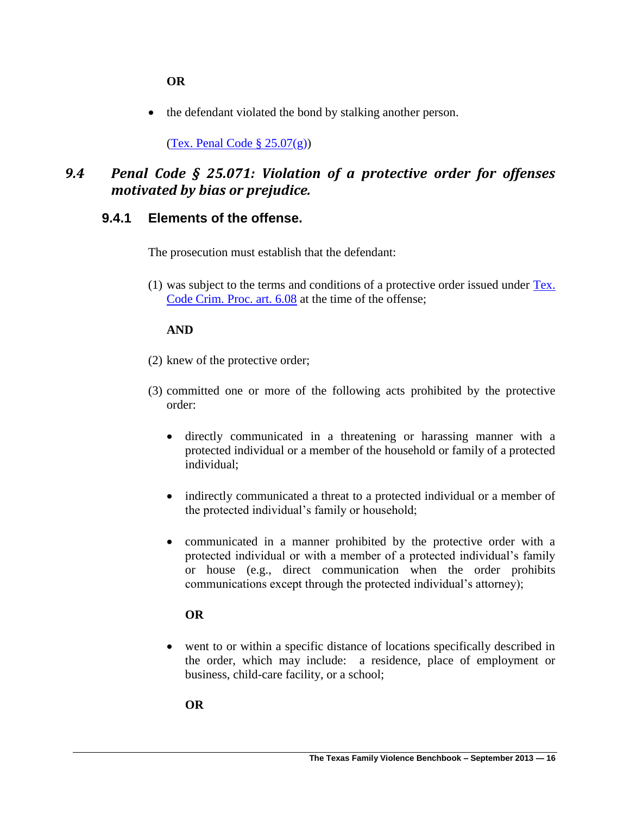• the defendant violated the bond by stalking another person.

(Tex. Penal Code  $\S 25.07(g)$ )

## *9.4 Penal Code § 25.071: Violation of a protective order for offenses motivated by bias or prejudice.*

### **9.4.1 Elements of the offense.**

The prosecution must establish that the defendant:

(1) was subject to the terms and conditions of a protective order issued under [Tex.](http://www.lexis.com/research/slft?cite=5465782E20436F6465204372696D2E2050726F632E206172742E20362E3038&keyenum=15452&keytnum=0)  [Code Crim. Proc. art. 6.08](http://www.lexis.com/research/slft?cite=5465782E20436F6465204372696D2E2050726F632E206172742E20362E3038&keyenum=15452&keytnum=0) at the time of the offense;

#### **AND**

- (2) knew of the protective order;
- (3) committed one or more of the following acts prohibited by the protective order:
	- directly communicated in a threatening or harassing manner with a protected individual or a member of the household or family of a protected individual;
	- indirectly communicated a threat to a protected individual or a member of the protected individual's family or household;
	- communicated in a manner prohibited by the protective order with a protected individual or with a member of a protected individual's family or house (e.g., direct communication when the order prohibits communications except through the protected individual's attorney);

#### **OR**

 went to or within a specific distance of locations specifically described in the order, which may include: a residence, place of employment or business, child-care facility, or a school;

**OR**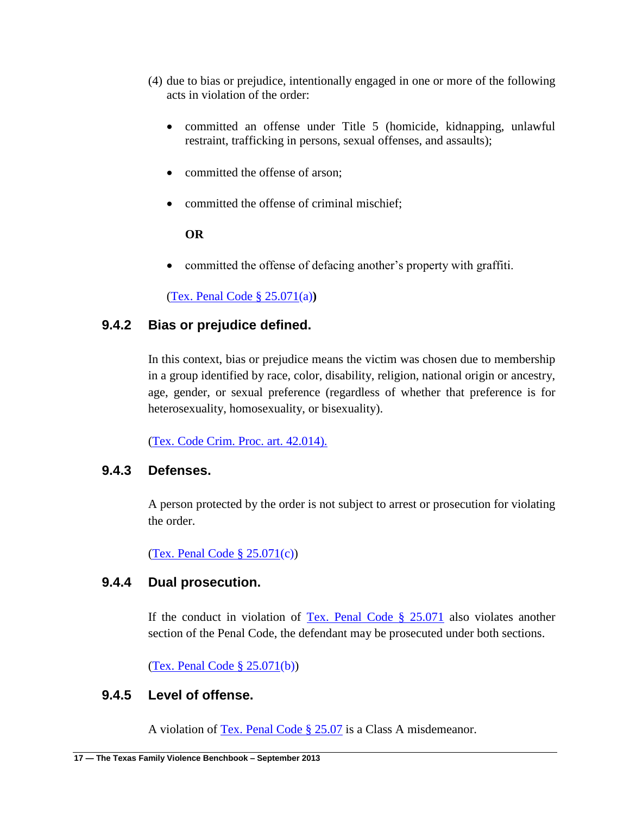- (4) due to bias or prejudice, intentionally engaged in one or more of the following acts in violation of the order:
	- committed an offense under Title 5 (homicide, kidnapping, unlawful restraint, trafficking in persons, sexual offenses, and assaults);
	- committed the offense of arson;
	- committed the offense of criminal mischief:

committed the offense of defacing another's property with graffiti.

[\(Tex. Penal Code § 25.071\(](http://www.lexis.com/research/slft?cite=54582050656E616C20436F646520A72032352E303731&keyenum=15452&keytnum=0)a)**)**

## **9.4.2 Bias or prejudice defined.**

In this context, bias or prejudice means the victim was chosen due to membership in a group identified by race, color, disability, religion, national origin or ancestry, age, gender, or sexual preference (regardless of whether that preference is for heterosexuality, homosexuality, or bisexuality).

[\(Tex. Code Crim. Proc. art. 42.014\).](http://www.lexis.com/research/slft?cite=5465782E20436F6465204372696D2E2050726F632E206172742E2034322E303134292E&keyenum=15452&keytnum=0) 

## **9.4.3 Defenses.**

A person protected by the order is not subject to arrest or prosecution for violating the order.

[\(Tex. Penal Code § 25.071\(](http://www.lexis.com/research/slft?cite=54582050656E616C20436F646520A72032352E303731&keyenum=15452&keytnum=0)c))

## **9.4.4 Dual prosecution.**

If the conduct in violation of [Tex. Penal Code § 25.071](http://www.lexis.com/research/slft?cite=54582050656E616C20436F646520A72032352E303731&keyenum=15452&keytnum=0) also violates another section of the Penal Code, the defendant may be prosecuted under both sections.

[\(Tex. Penal Code § 25.071\(](http://www.lexis.com/research/slft?cite=54582050656E616C20436F646520A72032352E303731&keyenum=15452&keytnum=0)b))

## **9.4.5 Level of offense.**

A violation of [Tex. Penal Code § 25.07](http://www.lexis.com/research/slft?cite=54582050656E616C20436F646520A72032352E3037&keyenum=15452&keytnum=0) is a Class A misdemeanor.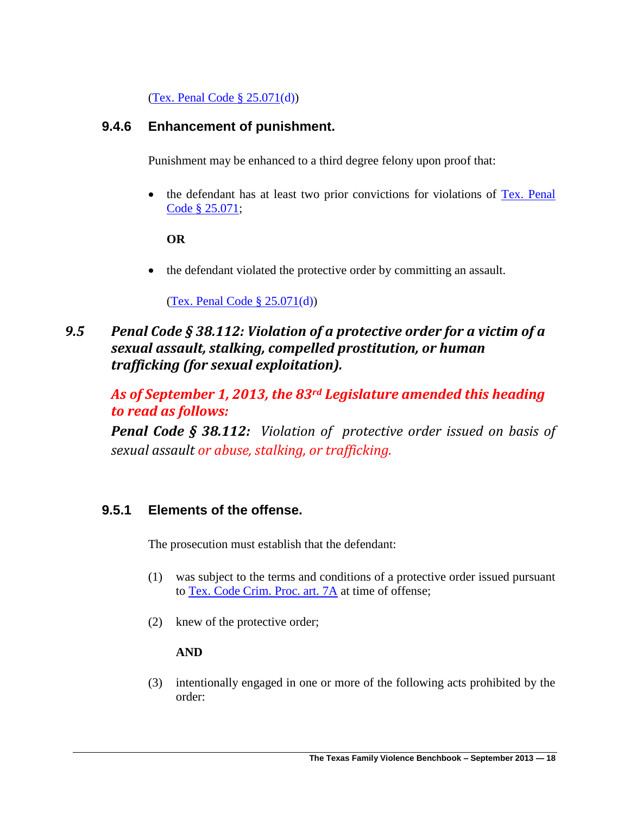[\(Tex. Penal Code § 25.071\(](http://www.lexis.com/research/slft?cite=54582050656E616C20436F646520A72032352E303731&keyenum=15452&keytnum=0)d))

## **9.4.6 Enhancement of punishment.**

Punishment may be enhanced to a third degree felony upon proof that:

• the defendant has at least two prior convictions for violations of Tex. Penal [Code § 25.071;](http://www.lexis.com/research/slft?cite=54582050656E616C20436F646520A72032352E303731&keyenum=15452&keytnum=0)

### **OR**

• the defendant violated the protective order by committing an assault.

### [\(Tex. Penal Code § 25.071\(](http://www.lexis.com/research/slft?cite=54582050656E616C20436F646520A72032352E303731&keyenum=15452&keytnum=0)d))

*9.5 Penal Code § 38.112: Violation of a protective order for a victim of a sexual assault, stalking, compelled prostitution, or human trafficking (for sexual exploitation).*

*As of September 1, 2013, the 83rd Legislature amended this heading to read as follows:*

*Penal Code § 38.112: Violation of protective order issued on basis of sexual assault or abuse, stalking, or trafficking.* 

## **9.5.1 Elements of the offense.**

The prosecution must establish that the defendant:

- (1) was subject to the terms and conditions of a protective order issued pursuant to [Tex. Code Crim. Proc. art. 7A](http://www.lexis.com/research/slft?cite=5465782E20436F6465204372696D2E2050726F632E206172742E203741&keyenum=15452&keytnum=0) at time of offense;
- (2) knew of the protective order;

### **AND**

(3) intentionally engaged in one or more of the following acts prohibited by the order: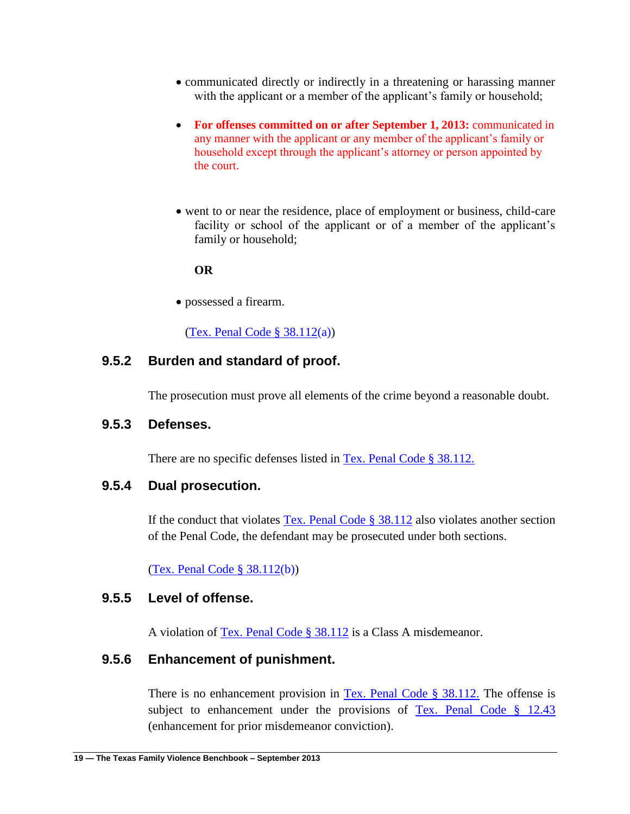- communicated directly or indirectly in a threatening or harassing manner with the applicant or a member of the applicant's family or household;
- For offenses committed on or after September 1, 2013: communicated in any manner with the applicant or any member of the applicant's family or household except through the applicant's attorney or person appointed by the court.
- went to or near the residence, place of employment or business, child-care facility or school of the applicant or of a member of the applicant's family or household;

possessed a firearm.

(Tex. Penal Code  $\S 38.112(a)$ )

### **9.5.2 Burden and standard of proof.**

The prosecution must prove all elements of the crime beyond a reasonable doubt.

#### **9.5.3 Defenses.**

There are no specific defenses listed in [Tex. Penal Code § 38.112.](http://www.lexis.com/research/slft?cite=54582050656E616C20436F646520A72033382E3131322E&keyenum=15452&keytnum=0)

### **9.5.4 Dual prosecution.**

If the conduct that violates [Tex. Penal Code § 38.112](http://www.lexis.com/research/slft?cite=54582050656E616C20436F646520A72033382E313132&keyenum=15452&keytnum=0) also violates another section of the Penal Code, the defendant may be prosecuted under both sections.

[\(Tex. Penal Code § 38.112\(](http://www.lexis.com/research/slft?cite=54582050656E616C20436F646520A72033382E313132&keyenum=15452&keytnum=0)b))

### **9.5.5 Level of offense.**

A violation of [Tex. Penal Code § 38.112](http://www.lexis.com/research/slft?cite=54582050656E616C20436F646520A72033382E313132&keyenum=15452&keytnum=0) is a Class A misdemeanor.

### **9.5.6 Enhancement of punishment.**

There is no enhancement provision in Tex. Penal Code  $\S$  38.112. The offense is subject to enhancement under the provisions of Tex. Penal Code  $\S$  12.43 (enhancement for prior misdemeanor conviction).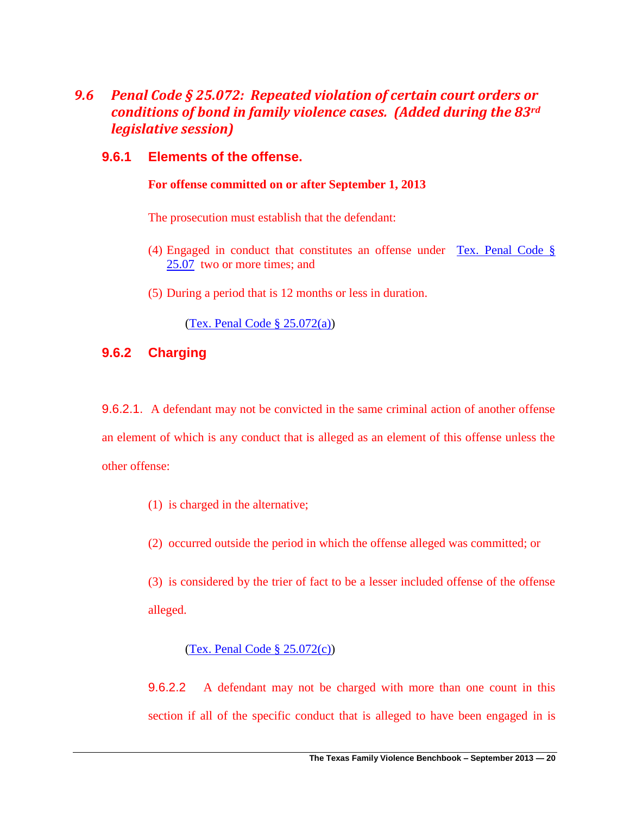## *9.6 Penal Code § 25.072: Repeated violation of certain court orders or conditions of bond in family violence cases. (Added during the 83rd legislative session)*

### **9.6.1 Elements of the offense.**

#### **For offense committed on or after September 1, 2013**

The prosecution must establish that the defendant:

- (4) Engaged in conduct that constitutes an offense under [Tex. Penal Code §](http://www.lexis.com/research/retrieve?_m=93edf39358d3411a6afbd1b47008df6b&csvc=lt&cform=byCitation&_fmtstr=FULL&docnum=1&_startdoc=1&wchp=dGLzVzt-zSkAl&_md5=315f32f0c3cd87455aa13e25aaa35151)  [25.07](http://www.lexis.com/research/retrieve?_m=93edf39358d3411a6afbd1b47008df6b&csvc=lt&cform=byCitation&_fmtstr=FULL&docnum=1&_startdoc=1&wchp=dGLzVzt-zSkAl&_md5=315f32f0c3cd87455aa13e25aaa35151) two or more times; and
- (5) During a period that is 12 months or less in duration.

[\(Tex. Penal Code § 25.072\(a\)](http://www.lexis.com/research/retrieve?_m=72e9f3cb5bd19f12e6c4c8a96fcb7d2b&csvc=lt&cform=byCitation&_fmtstr=FULL&docnum=1&_startdoc=1&wchp=dGLzVzt-zSkAl&_md5=78cc2beee94df8dcac4c5e86cf57e521))

### **9.6.2 Charging**

9.6.2.1. A defendant may not be convicted in the same criminal action of another offense an element of which is any conduct that is alleged as an element of this offense unless the other offense:

(1) is charged in the alternative;

(2) occurred outside the period in which the offense alleged was committed; or

(3) is considered by the trier of fact to be a lesser included offense of the offense alleged.

#### [\(Tex. Penal Code § 25.072\(](http://www.lexis.com/research/retrieve?_m=72e9f3cb5bd19f12e6c4c8a96fcb7d2b&csvc=lt&cform=byCitation&_fmtstr=FULL&docnum=1&_startdoc=1&wchp=dGLzVzt-zSkAl&_md5=78cc2beee94df8dcac4c5e86cf57e521)c))

9.6.2.2 A defendant may not be charged with more than one count in this section if all of the specific conduct that is alleged to have been engaged in is